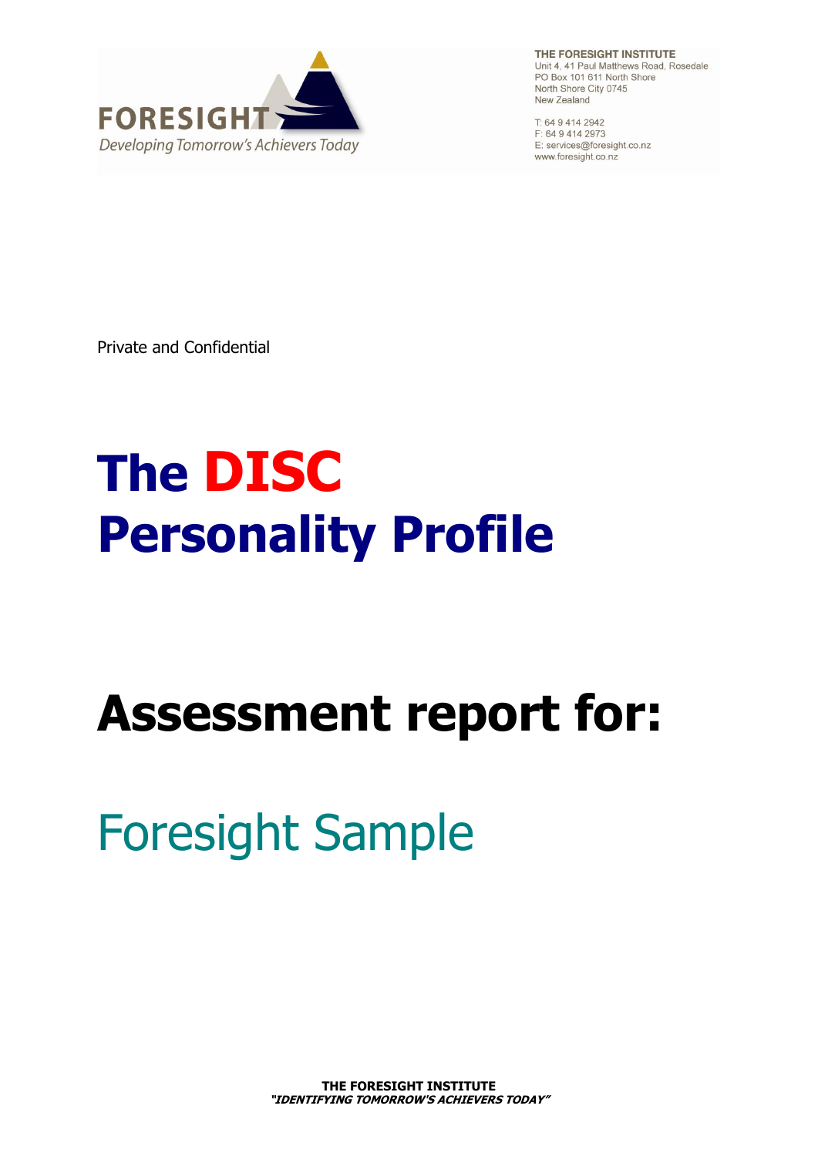

THE FORESIGHT INSTITUTE Unit 4, 41 Paul Matthews Road, Rosedale PO Box 101 611 North Shore North Shore City 0745 New Zealand

T: 64 9 414 2942 F: 64 9 414 2973 E: services@foresight.co.nz www.foresight.co.nz

Private and Confidential

# **The DISC Personality Profile**

# **Assessment report for:**

# Foresight Sample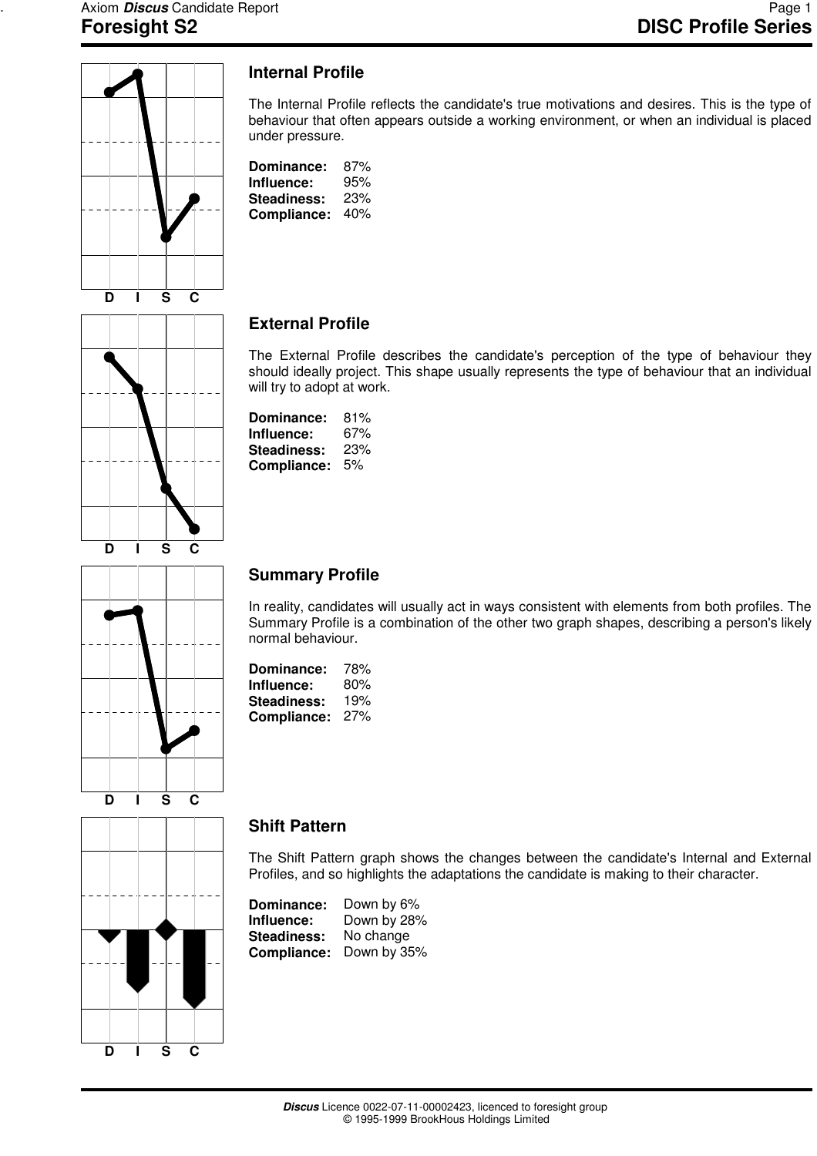

## **Internal Profile**

The Internal Profile reflects the candidate's true motivations and desires. This is the type of behaviour that often appears outside a working environment, or when an individual is placed under pressure.

**Dominance:** 87% **Influence:** 95% Steadiness: **Compliance:** 40%

# **External Profile**

The External Profile describes the candidate's perception of the type of behaviour they should ideally project. This shape usually represents the type of behaviour that an individual will try to adopt at work.

| <b>Dominance:</b>  | 81% |
|--------------------|-----|
| Influence:         | 67% |
| Steadiness:        | 23% |
| <b>Compliance:</b> | 5%  |

# **Summary Profile**

In reality, candidates will usually act in ways consistent with elements from both profiles. The Summary Profile is a combination of the other two graph shapes, describing a person's likely normal behaviour.

| Dominance:  | 78% |
|-------------|-----|
| Influence:  | 80% |
| Steadiness: | 19% |
| Compliance: | 27% |

#### **Shift Pattern**

The Shift Pattern graph shows the changes between the candidate's Internal and External Profiles, and so highlights the adaptations the candidate is making to their character.

| Dominance:         | Down by 6%  |
|--------------------|-------------|
| Influence:         | Down by 28% |
| <b>Steadiness:</b> | No change   |
| <b>Compliance:</b> | Down by 35% |

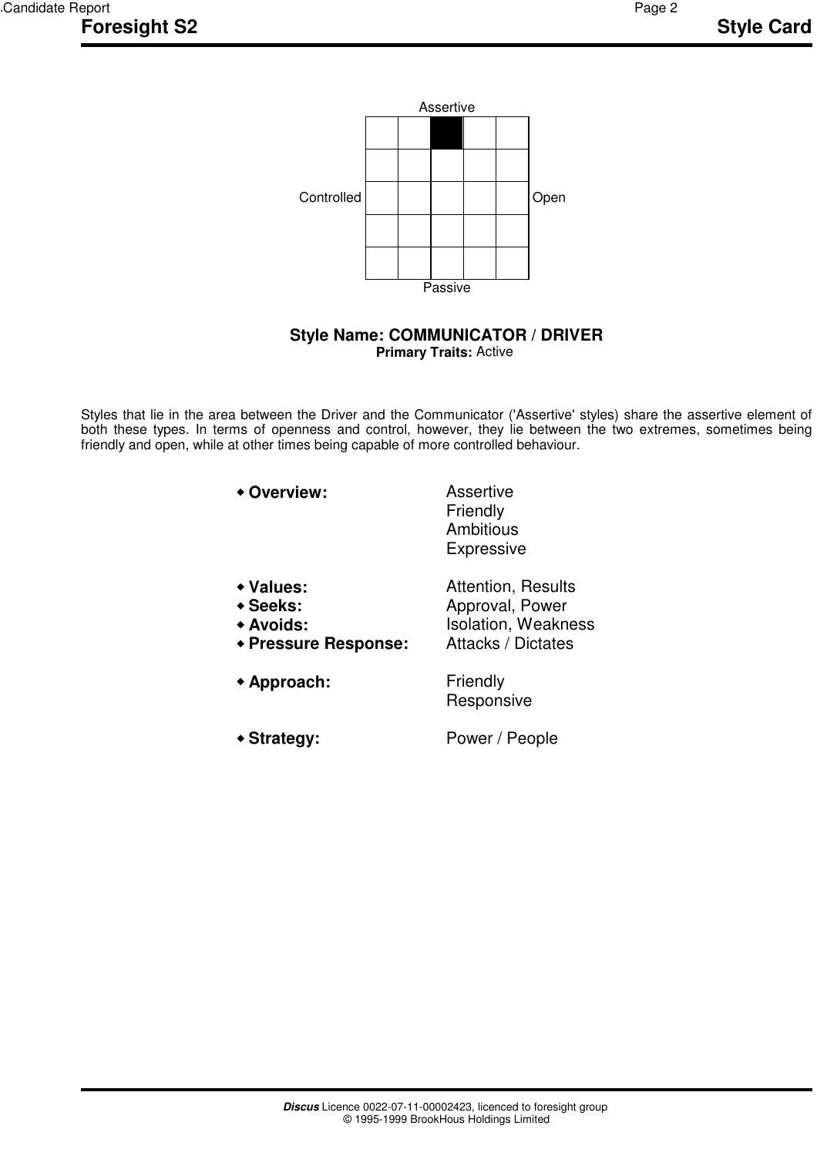

#### **Style Name: COMMUNICATOR / DRIVER Primary Traits:** Active

Styles that lie in the area between the Driver and the Communicator ('Assertive' styles) share the assertive element of both these types. In terms of openness and control, however, they lie between the two extremes, sometimes being friendly and open, while at other times being capable of more controlled behaviour.

| + Overview:                                                | Assertive<br>Friendly<br>Ambitious<br><b>Expressive</b>                                          |
|------------------------------------------------------------|--------------------------------------------------------------------------------------------------|
| ◆ Values:<br>◆ Seeks:<br>◆ Avoids:<br>◆ Pressure Response: | <b>Attention, Results</b><br>Approval, Power<br><b>Isolation, Weakness</b><br>Attacks / Dictates |
| ◆ Approach:                                                | Friendly<br>Responsive                                                                           |
| <b>◆ Strategy:</b>                                         | Power / People                                                                                   |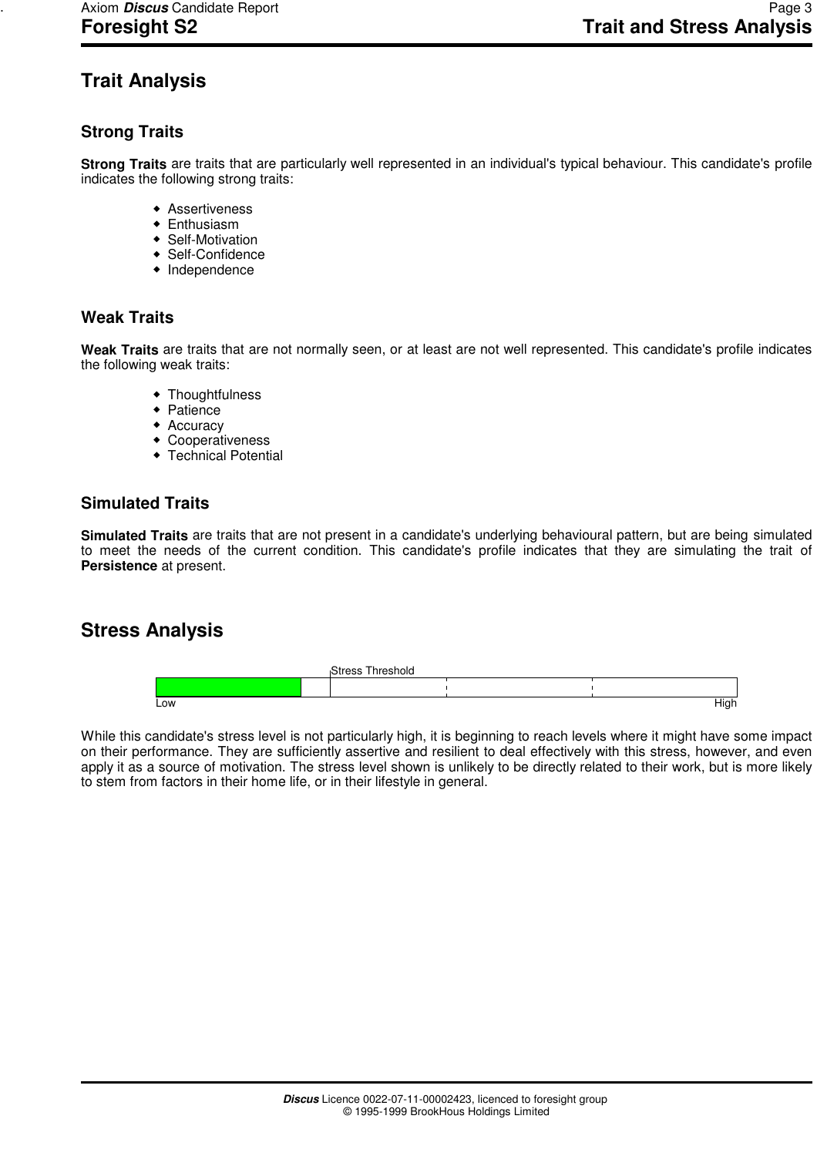# **Trait Analysis**

# **Strong Traits**

**Strong Traits** are traits that are particularly well represented in an individual's typical behaviour. This candidate's profile indicates the following strong traits:

- Assertiveness
- Enthusiasm
- Self-Motivation
- Self-Confidence
- $\bullet$  Independence

#### **Weak Traits**

**Weak Traits** are traits that are not normally seen, or at least are not well represented. This candidate's profile indicates the following weak traits:

- Thoughtfulness
- **Patience**
- ◆ Accuracy
- Cooperativeness
- Technical Potential

### **Simulated Traits**

**Simulated Traits** are traits that are not present in a candidate's underlying behavioural pattern, but are being simulated to meet the needs of the current condition. This candidate's profile indicates that they are simulating the trait of **Persistence** at present.

# **Stress Analysis**



While this candidate's stress level is not particularly high, it is beginning to reach levels where it might have some impact on their performance. They are sufficiently assertive and resilient to deal effectively with this stress, however, and even apply it as a source of motivation. The stress level shown is unlikely to be directly related to their work, but is more likely to stem from factors in their home life, or in their lifestyle in general.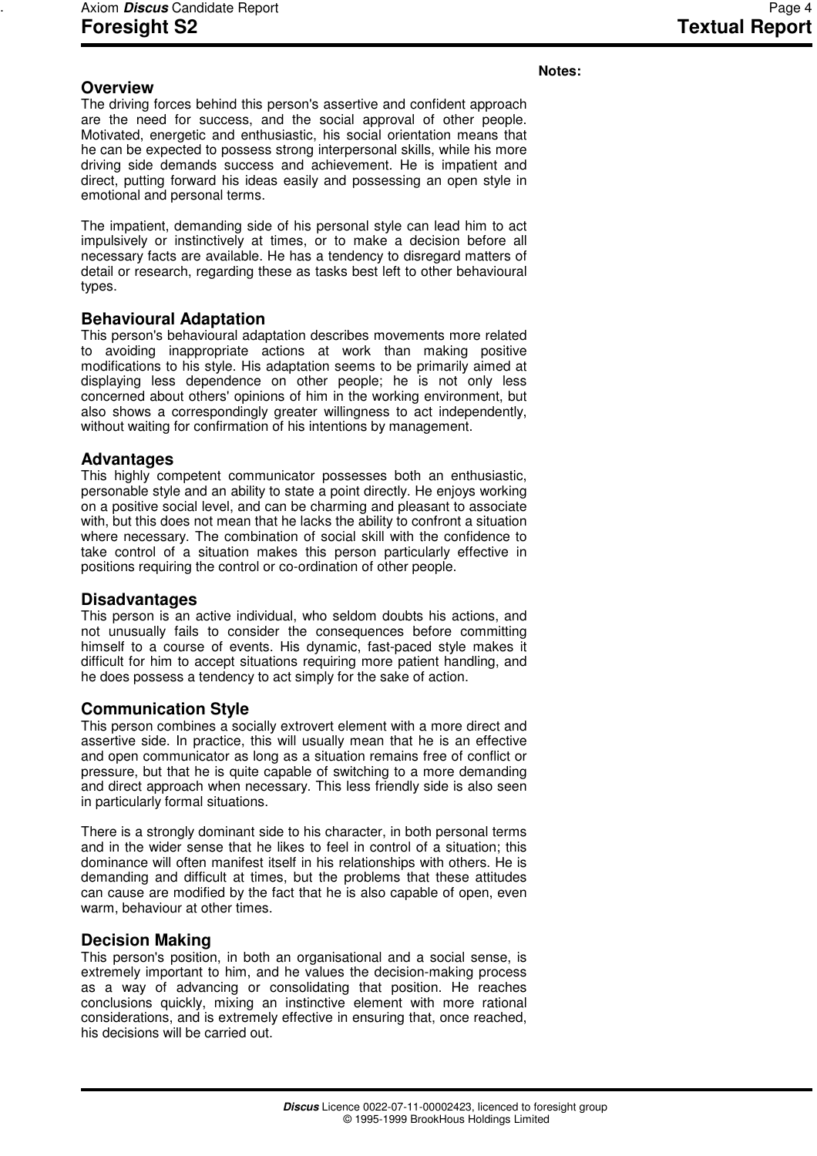#### **Notes:**

#### **Overview**

The driving forces behind this person's assertive and confident approach are the need for success, and the social approval of other people. Motivated, energetic and enthusiastic, his social orientation means that he can be expected to possess strong interpersonal skills, while his more driving side demands success and achievement. He is impatient and direct, putting forward his ideas easily and possessing an open style in emotional and personal terms.

The impatient, demanding side of his personal style can lead him to act impulsively or instinctively at times, or to make a decision before all necessary facts are available. He has a tendency to disregard matters of detail or research, regarding these as tasks best left to other behavioural types.

#### **Behavioural Adaptation**

This person's behavioural adaptation describes movements more related to avoiding inappropriate actions at work than making positive modifications to his style. His adaptation seems to be primarily aimed at displaying less dependence on other people; he is not only less concerned about others' opinions of him in the working environment, but also shows a correspondingly greater willingness to act independently, without waiting for confirmation of his intentions by management.

#### **Advantages**

This highly competent communicator possesses both an enthusiastic, personable style and an ability to state a point directly. He enjoys working on a positive social level, and can be charming and pleasant to associate with, but this does not mean that he lacks the ability to confront a situation where necessary. The combination of social skill with the confidence to take control of a situation makes this person particularly effective in positions requiring the control or co-ordination of other people.

#### **Disadvantages**

This person is an active individual, who seldom doubts his actions, and not unusually fails to consider the consequences before committing himself to a course of events. His dynamic, fast-paced style makes it difficult for him to accept situations requiring more patient handling, and he does possess a tendency to act simply for the sake of action.

#### **Communication Style**

This person combines a socially extrovert element with a more direct and assertive side. In practice, this will usually mean that he is an effective and open communicator as long as a situation remains free of conflict or pressure, but that he is quite capable of switching to a more demanding and direct approach when necessary. This less friendly side is also seen in particularly formal situations.

There is a strongly dominant side to his character, in both personal terms and in the wider sense that he likes to feel in control of a situation; this dominance will often manifest itself in his relationships with others. He is demanding and difficult at times, but the problems that these attitudes can cause are modified by the fact that he is also capable of open, even warm, behaviour at other times.

#### **Decision Making**

This person's position, in both an organisational and a social sense, is extremely important to him, and he values the decision-making process as a way of advancing or consolidating that position. He reaches conclusions quickly, mixing an instinctive element with more rational considerations, and is extremely effective in ensuring that, once reached, his decisions will be carried out.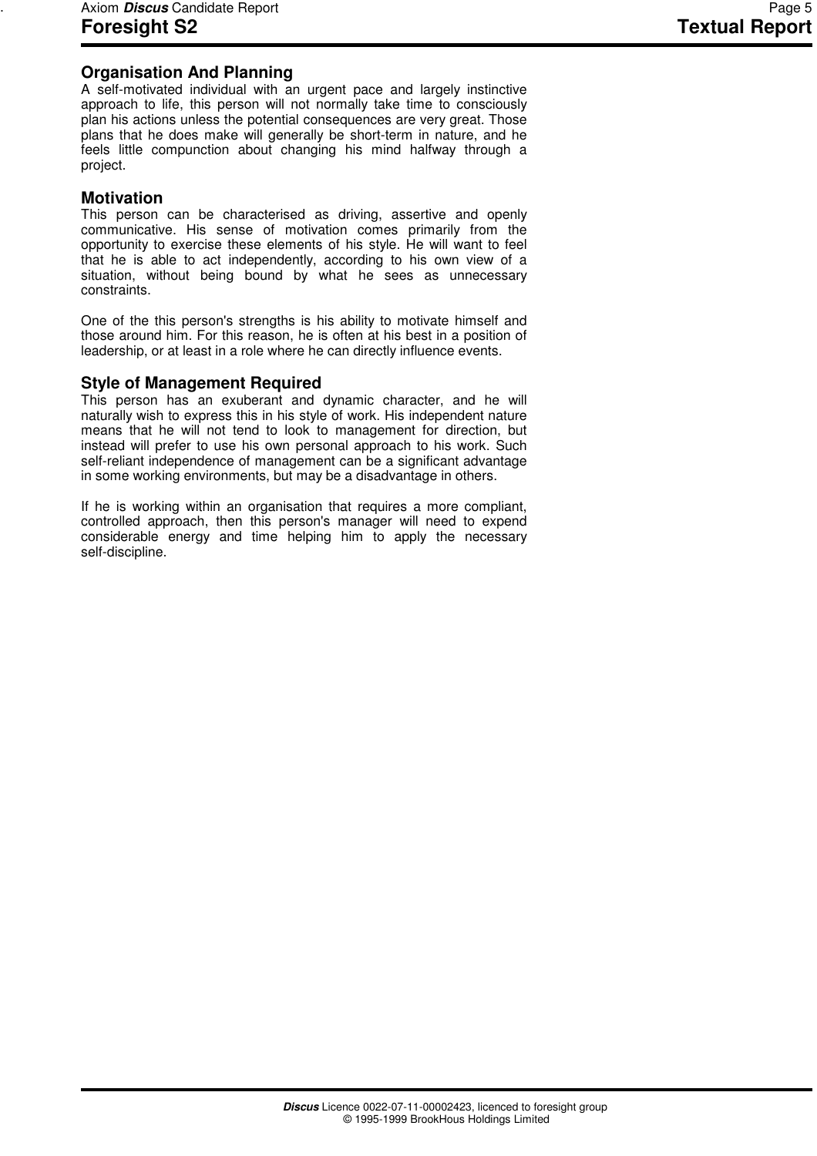# **Organisation And Planning**

A self-motivated individual with an urgent pace and largely instinctive approach to life, this person will not normally take time to consciously plan his actions unless the potential consequences are very great. Those plans that he does make will generally be short-term in nature, and he feels little compunction about changing his mind halfway through a project.

# **Motivation**

This person can be characterised as driving, assertive and openly communicative. His sense of motivation comes primarily from the opportunity to exercise these elements of his style. He will want to feel that he is able to act independently, according to his own view of a situation, without being bound by what he sees as unnecessary constraints.

One of the this person's strengths is his ability to motivate himself and those around him. For this reason, he is often at his best in a position of leadership, or at least in a role where he can directly influence events.

# **Style of Management Required**

This person has an exuberant and dynamic character, and he will naturally wish to express this in his style of work. His independent nature means that he will not tend to look to management for direction, but instead will prefer to use his own personal approach to his work. Such self-reliant independence of management can be a significant advantage in some working environments, but may be a disadvantage in others.

If he is working within an organisation that requires a more compliant, controlled approach, then this person's manager will need to expend considerable energy and time helping him to apply the necessary self-discipline.